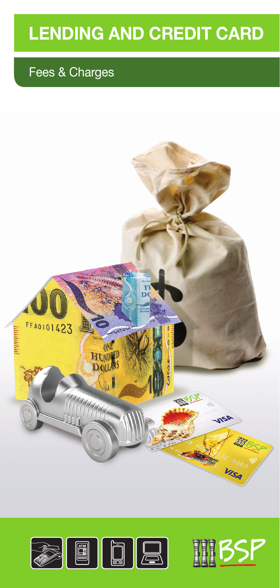# **LENDING AND CREDIT CARD**

# Fees & Charges





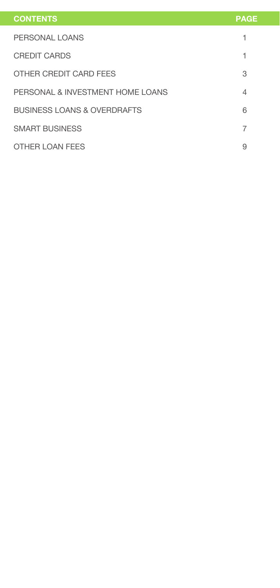| <b>CONTENTS</b>                  | <b>PAGE</b> |
|----------------------------------|-------------|
| PERSONAL LOANS                   | 1           |
| <b>CREDIT CARDS</b>              | 1           |
| OTHER CREDIT CARD FEES           | 3           |
| PERSONAL & INVESTMENT HOME LOANS | 4           |
| BUSINESS LOANS & OVERDRAFTS      | 6           |
| <b>SMART BUSINESS</b>            | 7           |
| <b>OTHER LOAN FEES</b>           | 9           |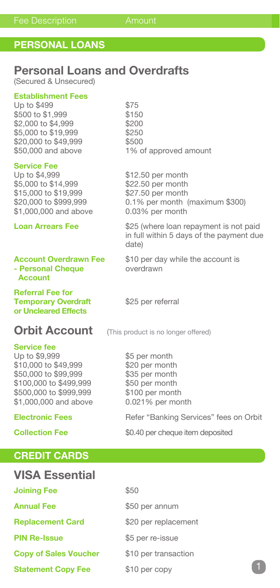## **PERSONAL LOANS**

## **Personal Loans and Overdrafts**

(Secured & Unsecured)

### **Establishment Fees**

Up to \$499<br>\$500 to \$1,999 \$150 \$500 to \$1,999<br>\$2,000 to \$4,999 \$200 \$2,000 to \$4,999<br>\$5,000 to \$19,999 \$250 \$5,000 to \$19,999 \$250<br>\$20,000 to \$49,999 \$500 \$20,000 to \$49,999<br>\$50,000 and above

**Service Fee**<br>Up to \$4,999  $$5,000$  to  $$14.999$ \$15,000 to \$19,999 \$27.50 per month<br>\$20,000 to \$999,999 0.1% per month \$1,000,000 and above

## **- Personal Cheque by Overdrawn Account**

**Referral Fee for Temporary Overdraft** \$25 per referral **or Uncleared Effects**

## **Orbit Account** (This product is no longer offered)

### **Service fee**

Up to \$9.999 \$5 per month \$10,000 to \$49,999 \$20 per month<br>\$50,000 to \$99,999 \$35 per month \$50,000 to \$99,999 \$35 per month<br>\$100,000 to \$499,999 \$50 per month \$100,000 to \$499,999 \$500,000 to \$999,999 \$100 per month \$1,000,000 and above 0.021% per month

### **CREDIT CARDS**

## **VISA Essential**

| <b>Joining Fee</b>           | \$50                 |
|------------------------------|----------------------|
| <b>Annual Fee</b>            | \$50 per annum       |
| <b>Replacement Card</b>      | \$20 per replacement |
| <b>PIN Re-Issue</b>          | \$5 per re-issue     |
| <b>Copy of Sales Voucher</b> | \$10 per transaction |
| <b>Statement Copy Fee</b>    | \$10 per copy        |

1% of approved amount

 $$12.50$  per month  $$22.50$  per month  $0.1\%$  per month (maximum \$300)<br> $0.03\%$  per month

**Loan Arrears Fee** \$25 (where loan repayment is not paid in full within 5 days of the payment due date)

**Account Overdrawn Fee** \$10 per day while the account is

**Electronic Fees** Refer "Banking Services" fees on Orbit

**Collection Fee** \$0.40 per cheque item deposited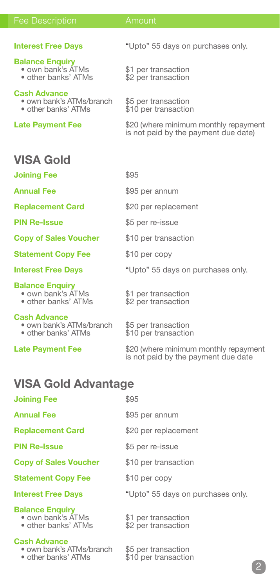### Fee Description **Amount**

### **Balance Enquiry**

- 
- 

### **Cash Advance**

- 
- 

**Interest Free Days** "Upto" 55 days on purchases only.

• own bank's ATMs  $\begin{array}{ccc} \bullet & \bullet & \bullet \\ \bullet & \bullet & \bullet & \bullet \end{array}$  other banks' ATMs  $\begin{array}{ccc} \bullet & \bullet & \bullet & \bullet \\ \bullet & \bullet & \bullet & \bullet \end{array}$  per transaction \$2 per transaction

• own bank's ATMs/branch \$5 per transaction<br>• other banks' ATMs \$10 per transaction \$10 per transaction

**Late Payment Fee** \$20 (where minimum monthly repayment is not paid by the payment due date)

## **VISA Gold**

**Joining Fee** \$95

**Copy of Sales Voucher** \$10 per transaction

**Statement Copy Fee** \$10 per copy

### **Balance Enquiry**

- own bank's ATMs \$1 per transaction
- 

### **Cash Advance**

- own bank's ATMs/branch \$5 per transaction<br>• other banks' ATMs \$10 per transaction
- 
- 

**Annual Fee**  $$95$  per annum

- **Replacement Card** \$20 per replacement
- **PIN Re-Issue** \$5 per re-issue
	- -
- **Interest Free Days** "Upto" 55 days on purchases only.
	- other banks' ATMs \$2 per transaction
		-
		- \$10 per transaction

\$95 per annum

**Late Payment Fee** \$20 (where minimum monthly repayment is not paid by the payment due date

## **VISA Gold Advantage**

| <b>Joining Fee</b> | \$95 |
|--------------------|------|
| <b>Annual Fee</b>  | \$95 |

**Replacement Card** \$20 per replacement

**PIN Re-Issue** \$5 per re-issue

**Copy of Sales Voucher** \$10 per transaction

**Statement Copy Fee** \$10 per copy

### **Interest Free Days** "Upto" 55 days on purchases only.

### **Balance Enquiry**

- 
- 

### **Cash Advance**

- 
- own bank's ATMs \$1 per transaction
- other banks' ATMs \$2 per transaction

• own bank's ATMs/branch \$5 per transaction<br>• other banks' ATMs \$10 per transaction \$10 per transaction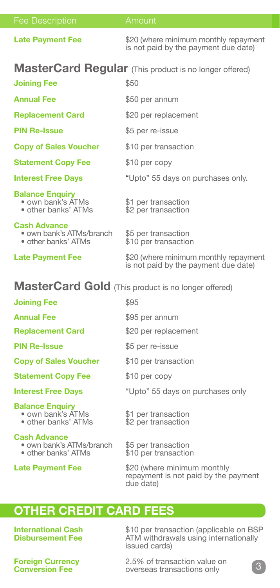| <b>Fee Description</b>                                                 | Amount                                                                           |
|------------------------------------------------------------------------|----------------------------------------------------------------------------------|
| <b>Late Payment Fee</b>                                                | \$20 (where minimum monthly repayment<br>is not paid by the payment due date)    |
|                                                                        | <b>MasterCard Regular</b> (This product is no longer offered)                    |
| <b>Joining Fee</b>                                                     | \$50                                                                             |
| <b>Annual Fee</b>                                                      | \$50 per annum                                                                   |
| <b>Replacement Card</b>                                                | \$20 per replacement                                                             |
| <b>PIN Re-Issue</b>                                                    | \$5 per re-issue                                                                 |
| <b>Copy of Sales Voucher</b>                                           | \$10 per transaction                                                             |
| <b>Statement Copy Fee</b>                                              | \$10 per copy                                                                    |
| <b>Interest Free Days</b>                                              | "Upto" 55 days on purchases only.                                                |
| <b>Balance Enguiry</b><br>• own bank's ATMs<br>· other banks' ATMs     | \$1 per transaction<br>\$2 per transaction                                       |
| <b>Cash Advance</b><br>• own bank's ATMs/branch<br>• other banks' ATMs | \$5 per transaction<br>\$10 per transaction                                      |
| <b>Late Payment Fee</b>                                                | \$20 (where minimum monthly repayment<br>is not paid by the payment due date)    |
|                                                                        | MasterCard Gold (This product is no longer offered)                              |
| <b>Joining Fee</b>                                                     | \$95                                                                             |
| <b>Annual Fee</b>                                                      | \$95 per annum                                                                   |
| <b>Replacement Card</b>                                                | \$20 per replacement                                                             |
| <b>PIN Re-Issue</b>                                                    | \$5 per re-issue                                                                 |
| <b>Copy of Sales Voucher</b>                                           | \$10 per transaction                                                             |
| <b>Statement Copy Fee</b>                                              | \$10 per copy                                                                    |
| <b>Interest Free Days</b>                                              | "Upto" 55 days on purchases only                                                 |
| <b>Balance Enquiry</b><br>• own bank's ATMs<br>• other banks' ATMs     | \$1 per transaction<br>\$2 per transaction                                       |
| <b>Cash Advance</b><br>• own bank's ATMs/branch<br>• other banks' ATMs | \$5 per transaction<br>\$10 per transaction                                      |
| <b>Late Payment Fee</b>                                                | \$20 (where minimum monthly<br>repayment is not paid by the payment<br>due date) |

## **OTHER CREDIT CARD FEES**

**International Cash** \$10 per transaction (applicable on BSP **Disbursement Fee** ATM withdrawals using internationally issued cards)

**Foreign Currency** 2.5% of transaction value on<br> **Conversion Fee Conversion Fee Conversion Fee Conversion Fee CONVERGENT CONVERGENT CONVERGENT CONVERGENT CONVERGENT CONVERGENT CONVERGENT CONVERGENT CONVERGENT CONVERGENT CONVERGENT CONVERGENT CONVERGENT CONVERGENT CONVERGENT CONVERGENT CONVERGENT**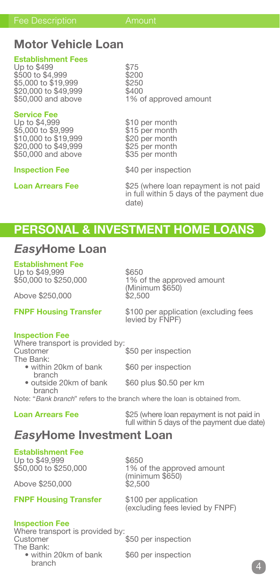## **Motor Vehicle Loan**

### **Establishment Fees**

Up to \$499<br>\$500 to \$4,999 \$200 \$500 to \$4,999<br>\$5.000 to \$19.999 \$250  $$5,000$  to  $$19,999$   $$250$ <br> $$20.000$  to  $$49.999$   $$400$ \$20,000 to \$49,999<br>\$50,000 and above

## **Service Fee**<br>Up to \$4.999

\$5,000 to \$9,999 \$15 per month<br>\$10,000 to \$19,999 \$20 per month \$10,000 to \$19,999 \$20 per month<br>\$20,000 to \$49,999 \$25 per month \$20,000 to \$49,999 \$25 per month<br>\$50,000 and above \$35 per month \$50,000 and above

1% of approved amount

\$10 per month<br>\$15 per month

**Inspection Fee** \$40 per inspection

**Loan Arrears Fee** \$25 (where loan repayment is not paid in full within 5 days of the payment due date)

## **PERSONAL & INVESTMENT HOME LOANS**

## *Easy***Home Loan**

**Establishment Fee**  Up to \$49,999 \$650

Above \$250,000

1% of the approved amount (Minimum \$650)

**FNPF Housing Transfer** \$100 per application (excluding fees levied by FNPF)

### **Inspection Fee**

Where transport is provided by:<br>Customer \$50 per inspection The Bank: • within 20km of bank \$60 per inspection branch

• outside 20km of bank \$60 plus \$0.50 per km branch

Note: "*Bank branch*" refers to the branch where the loan is obtained from.

**Loan Arrears Fee** \$25 (where loan repayment is not paid in full within 5 days of the payment due date)

## *Easy***Home Investment Loan**

**Establishment Fee** Up to \$49,999 \$650

Above \$250,000

1% of the approved amount (minimum \$650)

**FNPF Housing Transfer** \$100 per application

(excluding fees levied by FNPF)

### **Inspection Fee**

Where transport is provided by:<br>Customer \$50 per inspection The Bank: • within 20km of bank \$60 per inspection

branch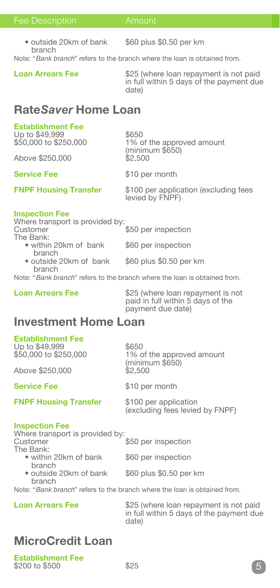### Fee Description **Amount**

• outside 20km of bank \$60 plus \$0.50 per km branch

Note: "*Bank branch*" refers to the branch where the loan is obtained from.

**Loan Arrears Fee** \$25 (where loan repayment is not paid in full within 5 days of the payment due date)

## **Rate***Saver* **Home Loan**

### **Establishment Fee**

Up to \$49,999 \$650

Above \$250,000

**Service Fee** \$10 per month

1% of the approved amount (minimum \$650)

**FNPF Housing Transfer** \$100 per application (excluding fees levied by FNPF)

### **Inspection Fee**

Where transport is provided by:<br>Customer \$50 per inspection The Bank: • within 20km of bank \$60 per inspection

**branch**<br>• outside 20km of bank \$60 plus \$0.50 per km branch

Note: "*Bank branch*" refers to the branch where the loan is obtained from.

**Loan Arrears Fee** \$25 (where loan repayment is not paid in full within 5 days of the payment due date)

## **Investment Home Loan**

### **Establishment Fee**

Up to \$49,999 \$650

Above \$250,000 \$2,500

\$50,000 to \$250,000 1% of the approved amount (minimum \$650)

**Service Fee** \$10 per month

**FNPF Housing Transfer** \$100 per application

(excluding fees levied by FNPF)

### **Inspection Fee**

Where transport is provided by:<br>Customer \$50 per inspection The Bank: • within 20km of bank \$60 per inspection branch • outside 20km of bank \$60 plus \$0.50 per km

branch

Note: "*Bank branch*" refers to the branch where the loan is obtained from.

**Loan Arrears Fee** \$25 (where loan repayment is not paid in full within 5 days of the payment due date)

## **MicroCredit Loan**

**Establishment Fee** \$200 to \$500 \$25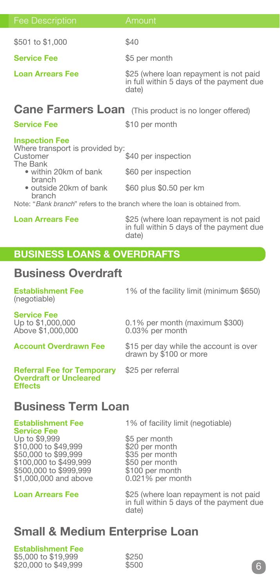| <b>Fee Description</b>                                                                                                                                  | Amount                                                                                      |
|---------------------------------------------------------------------------------------------------------------------------------------------------------|---------------------------------------------------------------------------------------------|
| \$501 to \$1,000                                                                                                                                        | \$40                                                                                        |
| <b>Service Fee</b>                                                                                                                                      | \$5 per month                                                                               |
| <b>Loan Arrears Fee</b>                                                                                                                                 | \$25 (where loan repayment is not paid<br>in full within 5 days of the payment due<br>date) |
|                                                                                                                                                         | <b>Cane Farmers Loan</b> (This product is no longer offered)                                |
| <b>Service Fee</b>                                                                                                                                      | \$10 per month                                                                              |
| <b>Inspection Fee</b><br>Where transport is provided by:<br>Customer<br>The Bank<br>• within 20km of bank<br>branch<br>• outside 20km of bank<br>branch | \$40 per inspection<br>\$60 per inspection<br>\$60 plus \$0.50 per km                       |

Note: "*Bank branch*" refers to the branch where the loan is obtained from.

**Loan Arrears Fee** \$25 (where loan repayment is not paid in full within 5 days of the payment due date)

## **BUSINESS LOANS & OVERDRAFTS**

## **Business Overdraft**

| <b>Establishment Fee</b><br>(negotiable)                                             | 1% of the facility limit (minimum \$650)                         |  |
|--------------------------------------------------------------------------------------|------------------------------------------------------------------|--|
| <b>Service Fee</b><br>Up to \$1,000,000<br>Above \$1,000,000                         | 0.1% per month (maximum \$300)<br>0.03% per month                |  |
| <b>Account Overdrawn Fee</b>                                                         | \$15 per day while the account is over<br>drawn by \$100 or more |  |
| <b>Referral Fee for Temporary</b><br><b>Overdraft or Uncleared</b><br><b>Effects</b> | \$25 per referral                                                |  |
| <b>Business Term Loan</b>                                                            |                                                                  |  |

## **Service Fee**

Up to \$9,999 \$5 per month<br>\$10,000 to \$49,999 \$20 per month \$10,000 to \$49,999 \$20 per month \$50,000 to \$99,999 \$35 per month \$100,000 to \$499,999 \$50 per month \$500,000 to \$999,999 \$100 per month<br>\$1,000,000 and above 0.021% per month \$1,000,000 and above

**Establishment Fee** 1% of facility limit (negotiable)

**Loan Arrears Fee** \$25 (where loan repayment is not paid in full within 5 days of the payment due date)

## **Small & Medium Enterprise Loan**

**Establishment Fee**  \$5,000 to \$19,999<br>\$20,000 to \$49,999 \$500 \$20,000 to \$49,999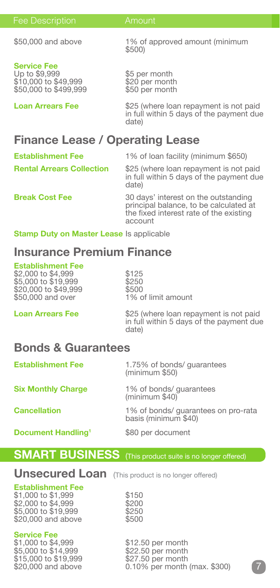| <b>Fee Description</b> |  |
|------------------------|--|
|                        |  |
|                        |  |

## **Service Fee**

\$10,000 to \$49,999 \$20 per month<br>\$50,000 to \$499,999 \$50 per month  $$50,000$  to  $$499.999$ 

\$50,000 and above 1% of approved amount (minimum \$500)

\$5 per month<br>\$20 per month

**Loan Arrears Fee** \$25 (where loan repayment is not paid in full within 5 days of the payment due date)

## **Finance Lease / Operating Lease**

**Establishment Fee** 1% of loan facility (minimum \$650)

**Rental Arrears Collection** \$25 (where loan repayment is not paid in full within 5 days of the payment due date)

**Break Cost Fee** 30 days' interest on the outstanding principal balance, to be calculated at the fixed interest rate of the existing account

**Stamp Duty on Master Lease Is applicable** 

## **Insurance Premium Finance**

### **Establishment Fee**

 $$2,000$  to  $$4,999$   $$125$ <br> $$5.000$  to  $$19.999$   $$250$  $$5,000$  to  $$19,999$   $$250$ <br> $$20.000$  to  $$49.999$   $$500$ \$20,000 to \$49,999<br>\$50,000 and over

1% of limit amount

**Loan Arrears Fee** \$25 (where loan repayment is not paid in full within 5 days of the payment due date)

## **Bonds & Guarantees**

**Establishment Fee** 1.75% of bonds/ guarantees (minimum \$50) **Six Monthly Charge** 1% of bonds/ guarantees (minimum \$40) **Cancellation** 1% of bonds/ guarantees on pro-rata

**Document Handling<sup>1</sup>** \$80 per document

basis (minimum \$40)

## **SMART BUSINESS** (This product suite is no longer offered)

## **Unsecured Loan** (This product is no longer offered)

### **Establishment Fee**

\$1,000 to \$1,999<br>\$2.000 to \$4,999 \$200  $\frac{1}{2}$ ,000 to \$4,999 \$200<br>\$5,000 to \$19,999 \$250 \$5,000 to \$19,999 \$250<br>\$20,000 and above \$500  $$20.000$  and above

| Service F |  |
|-----------|--|
|           |  |

\$1,000 to \$4,999 \$12.50 per month<br>\$5.000 to \$14.999 \$22.50 per month \$5,000 to \$14,999 \$22.50 per month<br>\$15,000 to \$19,999 \$27.50 per month \$15,000 to \$19,999 \$27.50 per month<br>\$20,000 and above \$27.50 per month

0.10% per month (max. \$300)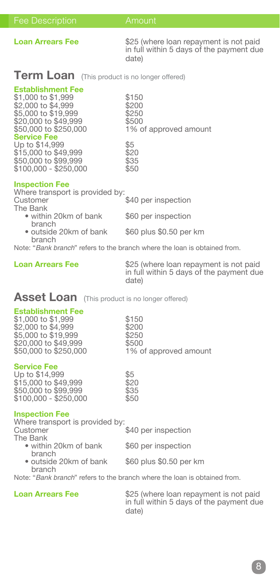**Loan Arrears Fee** \$25 (where loan repayment is not paid in full within 5 days of the payment due date)

## **Term Loan** (This product is no longer offered)

### **Establishment Fee**

\$1,000 to \$1,999<br>\$2.000 to \$4,999 \$200  $\frac{$2,000}{0}$  to  $\frac{$4,999}{0}$  \$200<br>\$5.000 to \$19,999 \$250  $$5,000$  to  $$19,999$   $$250$ <br> $$20.000$  to  $$49,999$   $$500$ \$20,000 to \$49,999<br>\$20,000 to \$49,999<br>\$50.000 to \$250.000 **Service Fee**

Up to \$14,999<br>\$15,000 to \$49,999 \$20 \$15,000 to \$49,999 \$20<br>\$50,000 to \$99,999 \$35 \$50,000 to \$99,999 \$35 \$100,000 - \$250,000 \$50

1% of approved amount

**Inspection Fee Where transport is provided by:**<br>Customer \$40 per inspection The Bank • within 20km of bank \$60 per inspection branch<br>• outside 20km of bank \$60 plus \$0.50 per km branch

Note: "*Bank branch*" refers to the branch where the loan is obtained from.

**Loan Arrears Fee** \$25 (where loan repayment is not paid in full within 5 days of the payment due date)

1% of approved amount

### **Asset Loan** (This product is no longer offered)

### **Establishment Fee**

\$1,000 to \$1,999<br>\$2,000 to \$4,999 \$200 \$2,000 to \$4,999 \$200<br>\$5.000 to \$19.999 \$250  $\frac{1}{35,000}$  to \$19,999  $\frac{1}{320,000}$  to \$49,999  $\frac{1}{3500}$ \$20,000 to \$49,999<br>\$50,000 to \$250,000

**Service Fee**

| Up to \$14,999        | \$5  |
|-----------------------|------|
| \$15,000 to \$49,999  | \$20 |
| \$50,000 to \$99,999  | \$35 |
| \$100,000 - \$250,000 | \$50 |

### **Inspection Fee**

Where transport is provided by:<br>Customer \$40 per inspection The Bank • within 20km of bank \$60 per inspection branch • outside 20km of bank \$60 plus \$0.50 per km branch

Note: "*Bank branch*" refers to the branch where the loan is obtained from.

**Loan Arrears Fee** \$25 (where loan repayment is not paid in full within 5 days of the payment due date)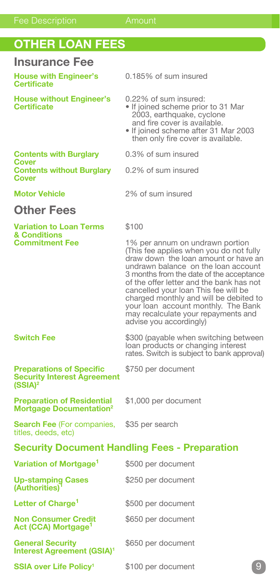## **OTHER LOAN FEES**

## **Insurance Fee**

**House with Engineer's** 0.185% of sum insured **Certificate**

- 
- **House without Engineer's** 0.22% of sum insured:<br> **Certificate** If joined scheme priou • If joined scheme prior to 31 Mar 2003, earthquake, cyclone and fire cover is available.
	- If joined scheme after 31 Mar 2003 then only fire cover is available.
- **Contents with Burglary** 0.3% of sum insured
- **Contents without Burglary** 0.2% of sum insured

**Cover**

**Cover**

**Motor Vehicle** 2% of sum insured

## **Other Fees**

## **Variation to Loan Terms** \$100 **& Conditions**

1% per annum on undrawn portion (This fee applies when you do not fully draw down the loan amount or have an undrawn balance on the loan account 3 months from the date of the acceptance of the offer letter and the bank has not cancelled your loan This fee will be charged monthly and will be debited to your loan account monthly. The Bank may recalculate your repayments and advise you accordingly)

 loan products or changing interest rates. Switch is subject to bank approval)

### **Switch Fee \$300** (payable when switching between

### **Preparations of Specific** \$750 per document **Security Interest Agreement (SSIA)2**

**Preparation of Residential** \$1,000 per document **Mortgage Documentation2**

**Search Fee** (For companies, \$35 per search titles, deeds, etc)

### **Security Document Handling Fees - Preparation**

| Variation of Mortgage <sup>1</sup>                                      | \$500 per document |   |
|-------------------------------------------------------------------------|--------------------|---|
| Up-stamping Cases<br>(Authorities)                                      | \$250 per document |   |
| Letter of Charge <sup>1</sup>                                           | \$500 per document |   |
| <b>Non Consumer Credit</b><br>Act (CCA) Mortgage <sup>1</sup>           | \$650 per document |   |
| <b>General Security</b><br><b>Interest Agreement (GSIA)<sup>1</sup></b> | \$650 per document |   |
| <b>SSIA over Life Policy<sup>1</sup></b>                                | \$100 per document | g |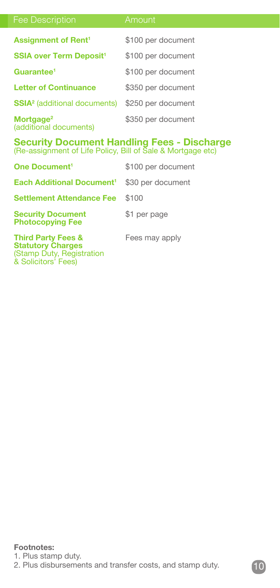| <b>Fee Description</b>                          | Amount             |
|-------------------------------------------------|--------------------|
| <b>Assignment of Rent<sup>1</sup></b>           | \$100 per document |
| <b>SSIA over Term Deposit<sup>1</sup></b>       | \$100 per document |
| Guarantee <sup>1</sup>                          | \$100 per document |
| <b>Letter of Continuance</b>                    | \$350 per document |
| <b>SSIA<sup>2</sup></b> (additional documents)  | \$250 per document |
| Mortgage <sup>2</sup><br>(additional documents) | \$350 per document |

# **Security Document Handling Fees - Discharge** (Re-assignment of Life Policy, Bill of Sale & Mortgage etc)

| One Document <sup>1</sup>                                                              | \$100 per document |
|----------------------------------------------------------------------------------------|--------------------|
| <b>Each Additional Document<sup>1</sup></b>                                            | \$30 per document  |
| <b>Settlement Attendance Fee</b>                                                       | \$100              |
| <b>Security Document</b><br><b>Photocopying Fee</b>                                    | \$1 per page       |
| <b>Third Party Fees &amp;</b><br><b>Statutory Charges</b><br>(Stamp Duty, Registration | Fees may apply     |

& Solicitors' Fees)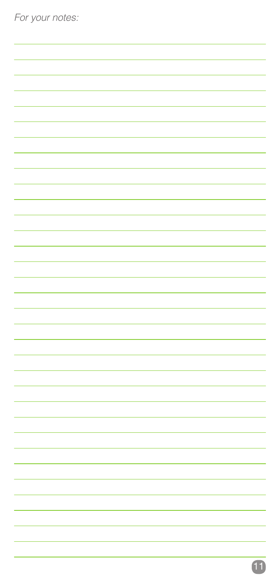| For your notes: |  |  |
|-----------------|--|--|
|                 |  |  |
|                 |  |  |
|                 |  |  |
|                 |  |  |
|                 |  |  |
|                 |  |  |
|                 |  |  |
|                 |  |  |
|                 |  |  |
|                 |  |  |
|                 |  |  |
|                 |  |  |
|                 |  |  |
|                 |  |  |
|                 |  |  |
|                 |  |  |
|                 |  |  |
|                 |  |  |
|                 |  |  |
|                 |  |  |
|                 |  |  |
|                 |  |  |
|                 |  |  |
|                 |  |  |
|                 |  |  |
|                 |  |  |
|                 |  |  |
|                 |  |  |
|                 |  |  |
|                 |  |  |
|                 |  |  |
|                 |  |  |
|                 |  |  |
|                 |  |  |
|                 |  |  |